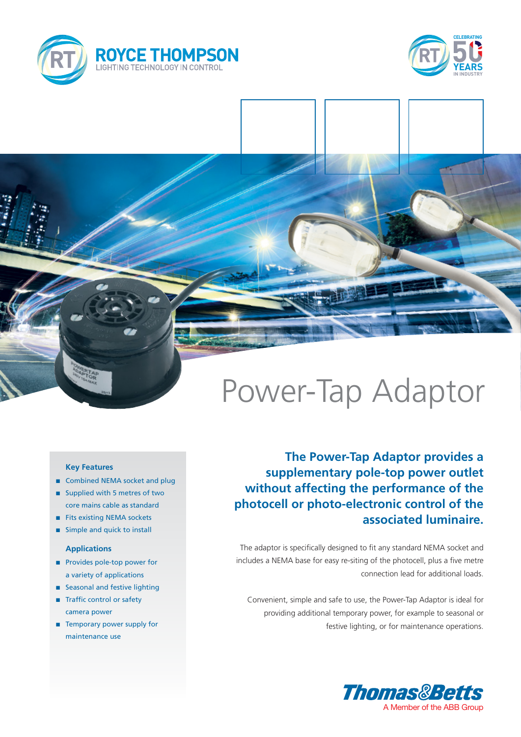



# Power-Tap Adaptor

### **Key Features**

- Combined NEMA socket and plug
- Supplied with 5 metres of two core mains cable as standard
- Fits existing NEMA sockets
- **n** Simple and quick to install

#### **Applications**

- **n** Provides pole-top power for a variety of applications
- **n** Seasonal and festive lighting
- Traffic control or safety camera power
- $\blacksquare$  Temporary power supply for maintenance use

## **The Power-Tap Adaptor provides a supplementary pole-top power outlet without affecting the performance of the photocell or photo-electronic control of the associated luminaire.**

The adaptor is specifically designed to fit any standard NEMA socket and includes a NEMA base for easy re-siting of the photocell, plus a five metre connection lead for additional loads.

Convenient, simple and safe to use, the Power-Tap Adaptor is ideal for providing additional temporary power, for example to seasonal or festive lighting, or for maintenance operations.